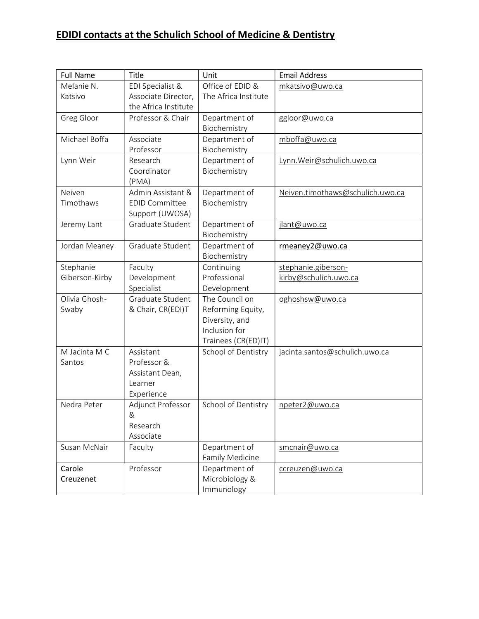| <b>Full Name</b> | <b>Title</b>          | Unit                                       | <b>Email Address</b>             |
|------------------|-----------------------|--------------------------------------------|----------------------------------|
| Melanie N.       | EDI Specialist &      | Office of EDID &                           | mkatsivo@uwo.ca                  |
| Katsivo          | Associate Director,   | The Africa Institute                       |                                  |
|                  | the Africa Institute  |                                            |                                  |
| Greg Gloor       | Professor & Chair     | Department of                              | ggloor@uwo.ca                    |
|                  |                       | Biochemistry                               |                                  |
| Michael Boffa    | Associate             | Department of                              | mboffa@uwo.ca                    |
|                  | Professor             | Biochemistry                               |                                  |
| Lynn Weir        | Research              | Department of                              | Lynn. Weir@schulich.uwo.ca       |
|                  | Coordinator           | Biochemistry                               |                                  |
|                  | (PMA)                 |                                            |                                  |
| Neiven           | Admin Assistant &     | Department of                              | Neiven.timothaws@schulich.uwo.ca |
| Timothaws        | <b>EDID Committee</b> | Biochemistry                               |                                  |
|                  | Support (UWOSA)       |                                            |                                  |
| Jeremy Lant      | Graduate Student      | Department of                              | jlant@uwo.ca                     |
|                  |                       | Biochemistry                               |                                  |
| Jordan Meaney    | Graduate Student      | Department of                              | rmeaney2@uwo.ca                  |
|                  |                       | Biochemistry                               |                                  |
| Stephanie        | Faculty               | Continuing                                 | stephanie.giberson-              |
| Giberson-Kirby   | Development           | Professional                               | kirby@schulich.uwo.ca            |
|                  | Specialist            | Development                                |                                  |
| Olivia Ghosh-    | Graduate Student      | The Council on                             | oghoshsw@uwo.ca                  |
| Swaby            | & Chair, CR(EDI)T     | Reforming Equity,                          |                                  |
|                  |                       | Diversity, and<br>Inclusion for            |                                  |
|                  |                       |                                            |                                  |
| M Jacinta M C    | Assistant             | Trainees (CR(ED)IT)<br>School of Dentistry | jacinta.santos@schulich.uwo.ca   |
| Santos           | Professor &           |                                            |                                  |
|                  | Assistant Dean,       |                                            |                                  |
|                  | Learner               |                                            |                                  |
|                  | Experience            |                                            |                                  |
| Nedra Peter      | Adjunct Professor     | School of Dentistry                        | npeter2@uwo.ca                   |
|                  | &                     |                                            |                                  |
|                  | Research              |                                            |                                  |
|                  | Associate             |                                            |                                  |
| Susan McNair     | Faculty               | Department of                              | smcnair@uwo.ca                   |
|                  |                       | Family Medicine                            |                                  |
| Carole           | Professor             | Department of                              | ccreuzen@uwo.ca                  |
| Creuzenet        |                       | Microbiology &                             |                                  |
|                  |                       | Immunology                                 |                                  |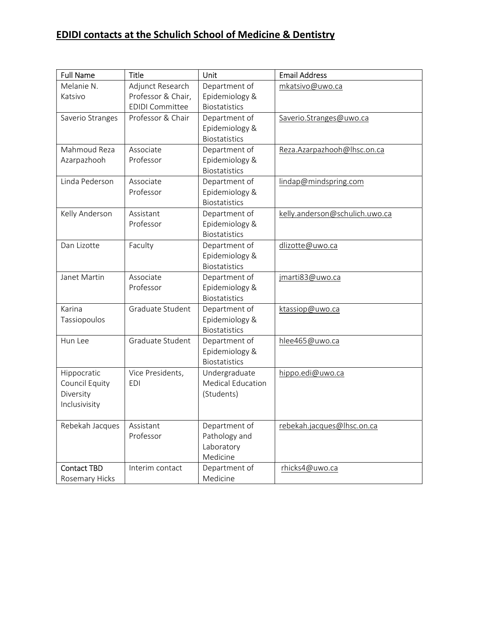| <b>Full Name</b>   | <b>Title</b>           | Unit                                   | <b>Email Address</b>           |
|--------------------|------------------------|----------------------------------------|--------------------------------|
| Melanie N.         | Adjunct Research       | Department of                          | mkatsivo@uwo.ca                |
| Katsivo            | Professor & Chair,     | Epidemiology &                         |                                |
|                    | <b>EDIDI Committee</b> | <b>Biostatistics</b>                   |                                |
| Saverio Stranges   | Professor & Chair      | Department of                          | Saverio.Stranges@uwo.ca        |
|                    |                        | Epidemiology &                         |                                |
|                    |                        | <b>Biostatistics</b>                   |                                |
| Mahmoud Reza       | Associate              | Department of                          | Reza.Azarpazhooh@lhsc.on.ca    |
| Azarpazhooh        | Professor              | Epidemiology &                         |                                |
|                    | Associate              | <b>Biostatistics</b>                   |                                |
| Linda Pederson     | Professor              | Department of                          | lindap@mindspring.com          |
|                    |                        | Epidemiology &<br><b>Biostatistics</b> |                                |
| Kelly Anderson     | Assistant              | Department of                          | kelly.anderson@schulich.uwo.ca |
|                    | Professor              | Epidemiology &                         |                                |
|                    |                        | <b>Biostatistics</b>                   |                                |
| Dan Lizotte        | Faculty                | Department of                          | dlizotte@uwo.ca                |
|                    |                        | Epidemiology &                         |                                |
|                    |                        | <b>Biostatistics</b>                   |                                |
| Janet Martin       | Associate              | Department of                          | jmarti83@uwo.ca                |
|                    | Professor              | Epidemiology &                         |                                |
|                    |                        | <b>Biostatistics</b>                   |                                |
| Karina             | Graduate Student       | Department of                          | ktassiop@uwo.ca                |
| Tassiopoulos       |                        | Epidemiology &                         |                                |
|                    |                        | <b>Biostatistics</b>                   |                                |
| Hun Lee            | Graduate Student       | Department of                          | hlee465@uwo.ca                 |
|                    |                        | Epidemiology &                         |                                |
|                    |                        | <b>Biostatistics</b>                   |                                |
| Hippocratic        | Vice Presidents,       | Undergraduate                          | hippo.edi@uwo.ca               |
| Council Equity     | <b>EDI</b>             | <b>Medical Education</b>               |                                |
| Diversity          |                        | (Students)                             |                                |
| Inclusivisity      |                        |                                        |                                |
| Rebekah Jacques    | Assistant              | Department of                          | rebekah.jacques@lhsc.on.ca     |
|                    | Professor              | Pathology and                          |                                |
|                    |                        | Laboratory                             |                                |
|                    |                        | Medicine                               |                                |
| <b>Contact TBD</b> | Interim contact        | Department of                          | rhicks4@uwo.ca                 |
| Rosemary Hicks     |                        | Medicine                               |                                |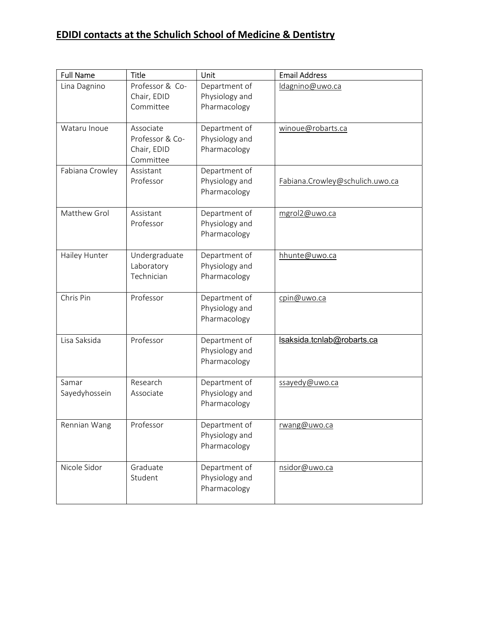| <b>Full Name</b>       | <b>Title</b>                                             | <b>Unit</b>                                     | <b>Email Address</b>            |
|------------------------|----------------------------------------------------------|-------------------------------------------------|---------------------------------|
| Lina Dagnino           | Professor & Co-<br>Chair, EDID<br>Committee              | Department of<br>Physiology and<br>Pharmacology | Idagnino@uwo.ca                 |
| Wataru Inoue           | Associate<br>Professor & Co-<br>Chair, EDID<br>Committee | Department of<br>Physiology and<br>Pharmacology | winoue@robarts.ca               |
| Fabiana Crowley        | Assistant<br>Professor                                   | Department of<br>Physiology and<br>Pharmacology | Fabiana.Crowley@schulich.uwo.ca |
| Matthew Grol           | Assistant<br>Professor                                   | Department of<br>Physiology and<br>Pharmacology | mgrol2@uwo.ca                   |
| Hailey Hunter          | Undergraduate<br>Laboratory<br>Technician                | Department of<br>Physiology and<br>Pharmacology | hhunte@uwo.ca                   |
| Chris Pin              | Professor                                                | Department of<br>Physiology and<br>Pharmacology | cpin@uwo.ca                     |
| Lisa Saksida           | Professor                                                | Department of<br>Physiology and<br>Pharmacology | Isaksida.tcnlab@robarts.ca      |
| Samar<br>Sayedyhossein | Research<br>Associate                                    | Department of<br>Physiology and<br>Pharmacology | ssayedy@uwo.ca                  |
| Rennian Wang           | Professor                                                | Department of<br>Physiology and<br>Pharmacology | rwang@uwo.ca                    |
| Nicole Sidor           | Graduate<br>Student                                      | Department of<br>Physiology and<br>Pharmacology | nsidor@uwo.ca                   |